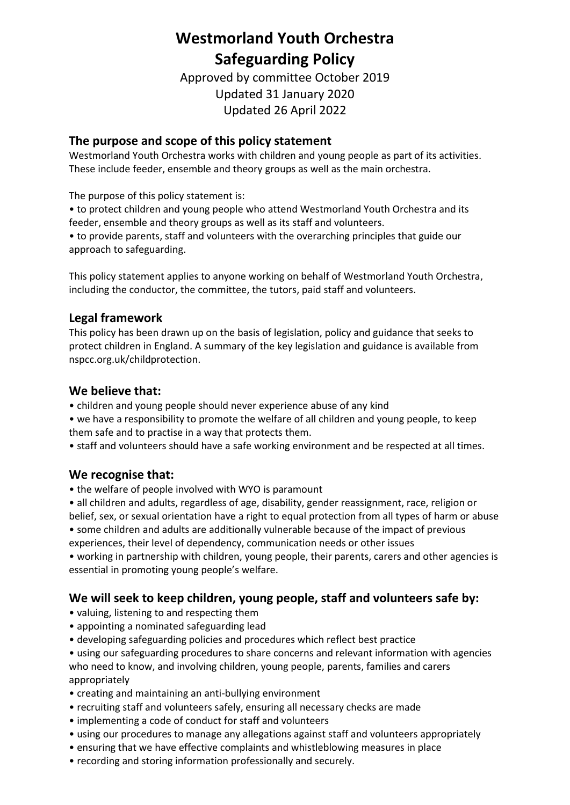# **Westmorland Youth Orchestra Safeguarding Policy**

Approved by committee October 2019 Updated 31 January 2020 Updated 26 April 2022

### **The purpose and scope of this policy statement**

Westmorland Youth Orchestra works with children and young people as part of its activities. These include feeder, ensemble and theory groups as well as the main orchestra.

The purpose of this policy statement is:

• to protect children and young people who attend Westmorland Youth Orchestra and its feeder, ensemble and theory groups as well as its staff and volunteers.

• to provide parents, staff and volunteers with the overarching principles that guide our approach to safeguarding.

This policy statement applies to anyone working on behalf of Westmorland Youth Orchestra, including the conductor, the committee, the tutors, paid staff and volunteers.

### **Legal framework**

This policy has been drawn up on the basis of legislation, policy and guidance that seeks to protect children in England. A summary of the key legislation and guidance is available from nspcc.org.uk/childprotection.

### **We believe that:**

- children and young people should never experience abuse of any kind
- we have a responsibility to promote the welfare of all children and young people, to keep them safe and to practise in a way that protects them.
- staff and volunteers should have a safe working environment and be respected at all times.

### **We recognise that:**

- the welfare of people involved with WYO is paramount
- all children and adults, regardless of age, disability, gender reassignment, race, religion or belief, sex, or sexual orientation have a right to equal protection from all types of harm or abuse
- some children and adults are additionally vulnerable because of the impact of previous experiences, their level of dependency, communication needs or other issues

• working in partnership with children, young people, their parents, carers and other agencies is essential in promoting young people's welfare.

# **We will seek to keep children, young people, staff and volunteers safe by:**

- valuing, listening to and respecting them
- appointing a nominated safeguarding lead
- developing safeguarding policies and procedures which reflect best practice
- using our safeguarding procedures to share concerns and relevant information with agencies who need to know, and involving children, young people, parents, families and carers appropriately
- creating and maintaining an anti-bullying environment
- recruiting staff and volunteers safely, ensuring all necessary checks are made
- implementing a code of conduct for staff and volunteers
- using our procedures to manage any allegations against staff and volunteers appropriately
- ensuring that we have effective complaints and whistleblowing measures in place
- recording and storing information professionally and securely.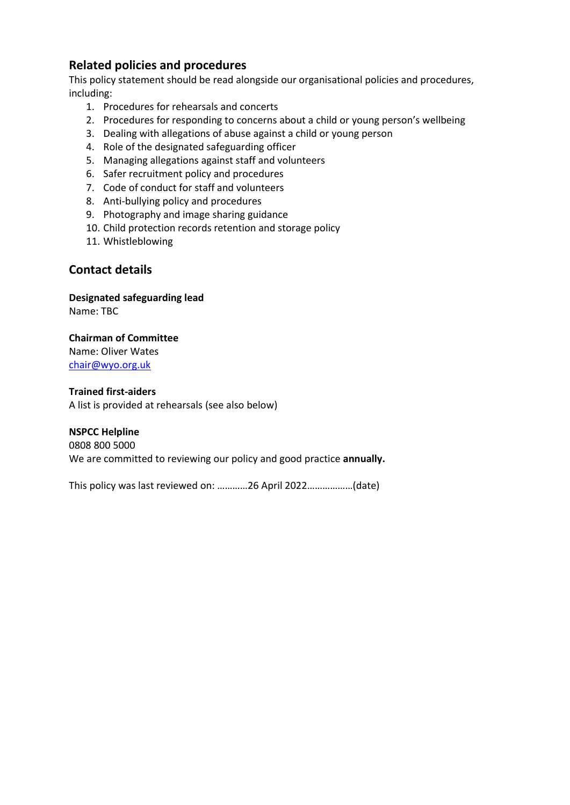### **Related policies and procedures**

This policy statement should be read alongside our organisational policies and procedures, including:

- 1. Procedures for rehearsals and concerts
- 2. Procedures for responding to concerns about a child or young person's wellbeing
- 3. Dealing with allegations of abuse against a child or young person
- 4. Role of the designated safeguarding officer
- 5. Managing allegations against staff and volunteers
- 6. Safer recruitment policy and procedures
- 7. Code of conduct for staff and volunteers
- 8. Anti-bullying policy and procedures
- 9. Photography and image sharing guidance
- 10. Child protection records retention and storage policy
- 11. Whistleblowing

### **Contact details**

**Designated safeguarding lead**  Name: TBC

#### **Chairman of Committee** Name: Oliver Wates [chair@wyo.org.uk](mailto:chair@wyo.org.uk)

**Trained first-aiders**  A list is provided at rehearsals (see also below)

### **NSPCC Helpline**

0808 800 5000 We are committed to reviewing our policy and good practice **annually.** 

This policy was last reviewed on: …………26 April 2022………………(date)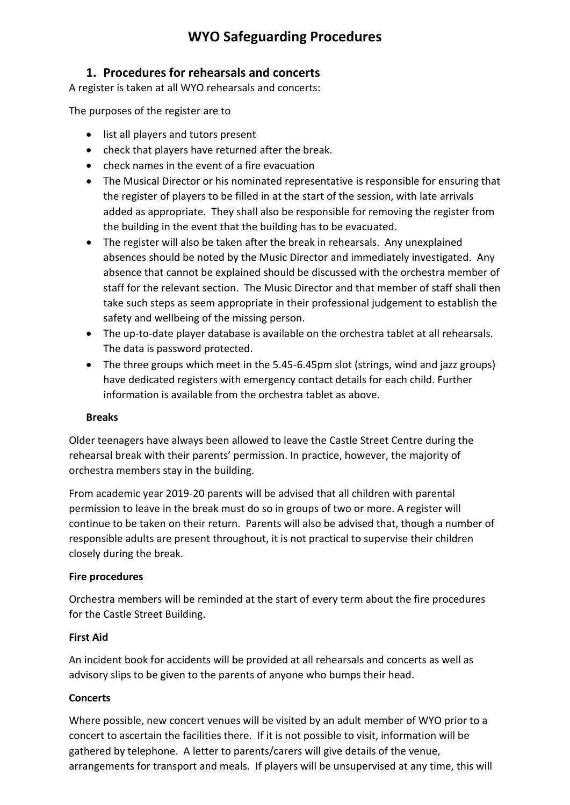# **WYO Safeguarding Procedures**

# **1. Procedures for rehearsals and concerts**

A register is taken at all WYO rehearsals and concerts:

The purposes of the register are to

- list all players and tutors present
- check that players have returned after the break.
- check names in the event of a fire evacuation
- The Musical Director or his nominated representative is responsible for ensuring that the register of players to be filled in at the start of the session, with late arrivals added as appropriate. They shall also be responsible for removing the register from the building in the event that the building has to be evacuated.
- The register will also be taken after the break in rehearsals. Any unexplained absences should be noted by the Music Director and immediately investigated. Any absence that cannot be explained should be discussed with the orchestra member of staff for the relevant section. The Music Director and that member of staff shall then take such steps as seem appropriate in their professional judgement to establish the safety and wellbeing of the missing person.
- The up-to-date player database is available on the orchestra tablet at all rehearsals. The data is password protected.
- The three groups which meet in the 5.45-6.45pm slot (strings, wind and jazz groups) have dedicated registers with emergency contact details for each child. Further information is available from the orchestra tablet as above.

#### **Breaks**

Older teenagers have always been allowed to leave the Castle Street Centre during the rehearsal break with their parents' permission. In practice, however, the majority of orchestra members stay in the building.

From academic year 2019-20 parents will be advised that all children with parental permission to leave in the break must do so in groups of two or more. A register will continue to be taken on their return. Parents will also be advised that, though a number of responsible adults are present throughout, it is not practical to supervise their children closely during the break.

### **Fire procedures**

Orchestra members will be reminded at the start of every term about the fire procedures for the Castle Street Building.

### **First Aid**

An incident book for accidents will be provided at all rehearsals and concerts as well as advisory slips to be given to the parents of anyone who bumps their head.

### **Concerts**

Where possible, new concert venues will be visited by an adult member of WYO prior to a concert to ascertain the facilities there. If it is not possible to visit, information will be gathered by telephone. A letter to parents/carers will give details of the venue, arrangements for transport and meals. If players will be unsupervised at any time, this will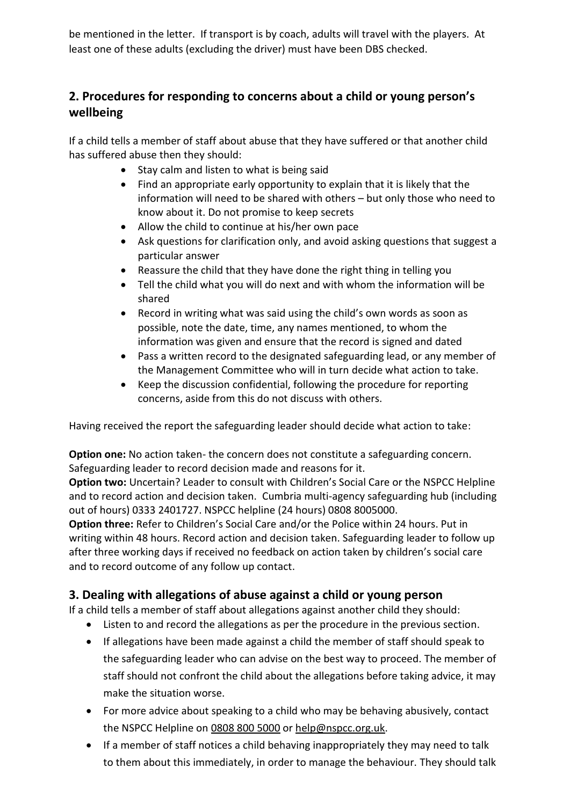be mentioned in the letter. If transport is by coach, adults will travel with the players. At least one of these adults (excluding the driver) must have been DBS checked.

# **2. Procedures for responding to concerns about a child or young person's wellbeing**

If a child tells a member of staff about abuse that they have suffered or that another child has suffered abuse then they should:

- Stay calm and listen to what is being said
- Find an appropriate early opportunity to explain that it is likely that the information will need to be shared with others – but only those who need to know about it. Do not promise to keep secrets
- Allow the child to continue at his/her own pace
- Ask questions for clarification only, and avoid asking questions that suggest a particular answer
- Reassure the child that they have done the right thing in telling you
- Tell the child what you will do next and with whom the information will be shared
- Record in writing what was said using the child's own words as soon as possible, note the date, time, any names mentioned, to whom the information was given and ensure that the record is signed and dated
- Pass a written record to the designated safeguarding lead, or any member of the Management Committee who will in turn decide what action to take.
- Keep the discussion confidential, following the procedure for reporting concerns, aside from this do not discuss with others.

Having received the report the safeguarding leader should decide what action to take:

**Option one:** No action taken- the concern does not constitute a safeguarding concern. Safeguarding leader to record decision made and reasons for it.

**Option two:** Uncertain? Leader to consult with Children's Social Care or the NSPCC Helpline and to record action and decision taken. Cumbria multi-agency safeguarding hub (including out of hours) 0333 2401727. NSPCC helpline (24 hours) 0808 8005000.

**Option three:** Refer to Children's Social Care and/or the Police within 24 hours. Put in writing within 48 hours. Record action and decision taken. Safeguarding leader to follow up after three working days if received no feedback on action taken by children's social care and to record outcome of any follow up contact.

# **3. Dealing with allegations of abuse against a child or young person**

If a child tells a member of staff about allegations against another child they should:

- Listen to and record the allegations as per the procedure in the previous section.
- If allegations have been made against a child the member of staff should speak to the safeguarding leader who can advise on the best way to proceed. The member of staff should not confront the child about the allegations before taking advice, it may make the situation worse.
- For more advice about speaking to a child who may be behaving abusively, contact the NSPCC Helpline on [0808](tel:08088005000) 800 5000 o[r help@nspcc.org.uk.](mailto:help@nspcc.org.uk)
- If a member of staff notices a child behaving inappropriately they may need to talk to them about this immediately, in order to manage the behaviour. They should talk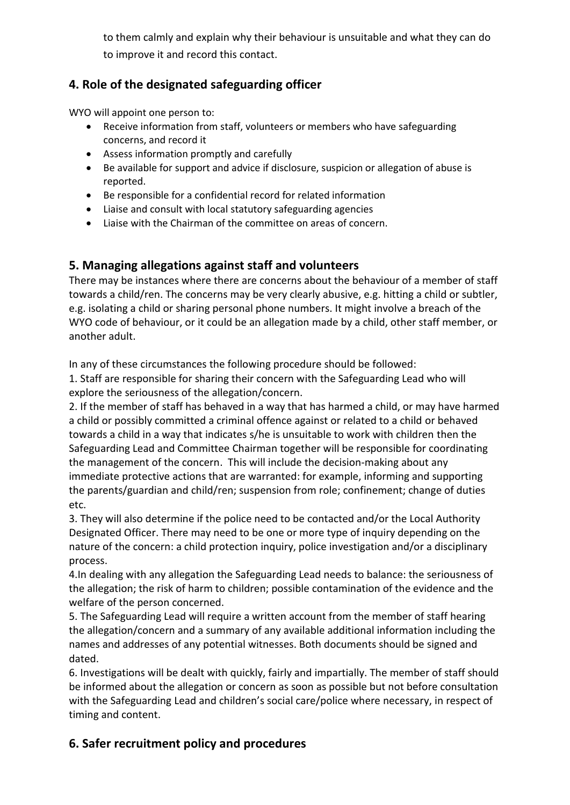to them calmly and explain why their behaviour is unsuitable and what they can do to improve it and record this contact.

# **4. Role of the designated safeguarding officer**

WYO will appoint one person to:

- Receive information from staff, volunteers or members who have safeguarding concerns, and record it
- Assess information promptly and carefully
- Be available for support and advice if disclosure, suspicion or allegation of abuse is reported.
- Be responsible for a confidential record for related information
- Liaise and consult with local statutory safeguarding agencies
- Liaise with the Chairman of the committee on areas of concern.

### **5. Managing allegations against staff and volunteers**

There may be instances where there are concerns about the behaviour of a member of staff towards a child/ren. The concerns may be very clearly abusive, e.g. hitting a child or subtler, e.g. isolating a child or sharing personal phone numbers. It might involve a breach of the WYO code of behaviour, or it could be an allegation made by a child, other staff member, or another adult.

In any of these circumstances the following procedure should be followed:

1. Staff are responsible for sharing their concern with the Safeguarding Lead who will explore the seriousness of the allegation/concern.

2. If the member of staff has behaved in a way that has harmed a child, or may have harmed a child or possibly committed a criminal offence against or related to a child or behaved towards a child in a way that indicates s/he is unsuitable to work with children then the Safeguarding Lead and Committee Chairman together will be responsible for coordinating the management of the concern. This will include the decision-making about any immediate protective actions that are warranted: for example, informing and supporting the parents/guardian and child/ren; suspension from role; confinement; change of duties etc.

3. They will also determine if the police need to be contacted and/or the Local Authority Designated Officer. There may need to be one or more type of inquiry depending on the nature of the concern: a child protection inquiry, police investigation and/or a disciplinary process.

4.In dealing with any allegation the Safeguarding Lead needs to balance: the seriousness of the allegation; the risk of harm to children; possible contamination of the evidence and the welfare of the person concerned.

5. The Safeguarding Lead will require a written account from the member of staff hearing the allegation/concern and a summary of any available additional information including the names and addresses of any potential witnesses. Both documents should be signed and dated.

6. Investigations will be dealt with quickly, fairly and impartially. The member of staff should be informed about the allegation or concern as soon as possible but not before consultation with the Safeguarding Lead and children's social care/police where necessary, in respect of timing and content.

# **6. Safer recruitment policy and procedures**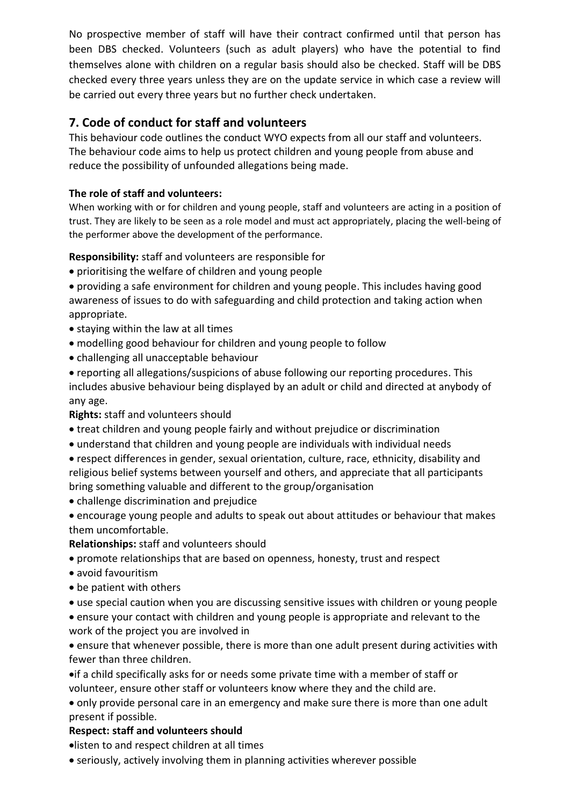No prospective member of staff will have their contract confirmed until that person has been DBS checked. Volunteers (such as adult players) who have the potential to find themselves alone with children on a regular basis should also be checked. Staff will be DBS checked every three years unless they are on the update service in which case a review will be carried out every three years but no further check undertaken.

# **7. Code of conduct for staff and volunteers**

This behaviour code outlines the conduct WYO expects from all our staff and volunteers. The behaviour code aims to help us protect children and young people from abuse and reduce the possibility of unfounded allegations being made.

### **The role of staff and volunteers:**

When working with or for children and young people, staff and volunteers are acting in a position of trust. They are likely to be seen as a role model and must act appropriately, placing the well-being of the performer above the development of the performance.

### **Responsibility:** staff and volunteers are responsible for

- prioritising the welfare of children and young people
- providing a safe environment for children and young people. This includes having good awareness of issues to do with safeguarding and child protection and taking action when appropriate.
- staying within the law at all times
- modelling good behaviour for children and young people to follow
- challenging all unacceptable behaviour
- reporting all allegations/suspicions of abuse following our reporting procedures. This includes abusive behaviour being displayed by an adult or child and directed at anybody of any age.

**Rights:** staff and volunteers should

- treat children and young people fairly and without prejudice or discrimination
- understand that children and young people are individuals with individual needs
- respect differences in gender, sexual orientation, culture, race, ethnicity, disability and religious belief systems between yourself and others, and appreciate that all participants bring something valuable and different to the group/organisation
- challenge discrimination and prejudice
- encourage young people and adults to speak out about attitudes or behaviour that makes them uncomfortable.

#### **Relationships:** staff and volunteers should

- promote relationships that are based on openness, honesty, trust and respect
- avoid favouritism
- be patient with others
- use special caution when you are discussing sensitive issues with children or young people
- ensure your contact with children and young people is appropriate and relevant to the work of the project you are involved in

• ensure that whenever possible, there is more than one adult present during activities with fewer than three children.

•if a child specifically asks for or needs some private time with a member of staff or volunteer, ensure other staff or volunteers know where they and the child are.

• only provide personal care in an emergency and make sure there is more than one adult present if possible.

#### **Respect: staff and volunteers should**

•listen to and respect children at all times

• seriously, actively involving them in planning activities wherever possible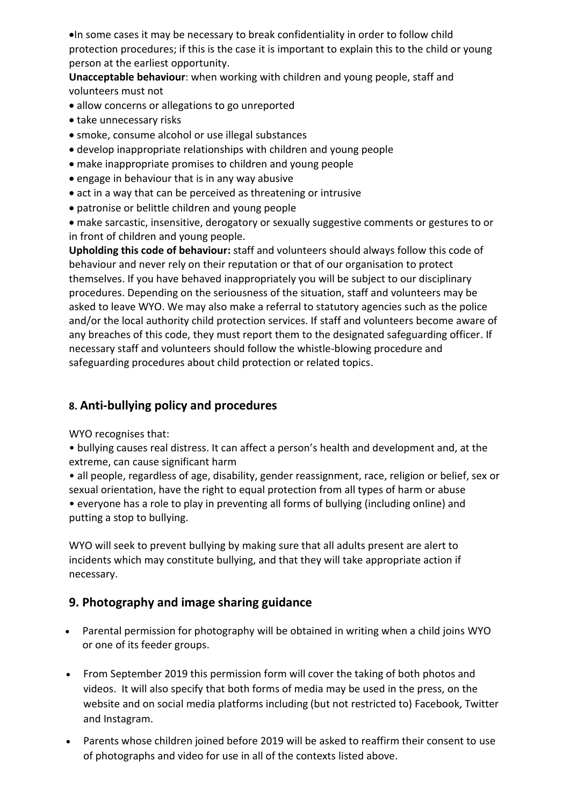•In some cases it may be necessary to break confidentiality in order to follow child protection procedures; if this is the case it is important to explain this to the child or young person at the earliest opportunity.

**Unacceptable behaviour**: when working with children and young people, staff and volunteers must not

- allow concerns or allegations to go unreported
- take unnecessary risks
- smoke, consume alcohol or use illegal substances
- develop inappropriate relationships with children and young people
- make inappropriate promises to children and young people
- engage in behaviour that is in any way abusive
- act in a way that can be perceived as threatening or intrusive
- patronise or belittle children and young people

• make sarcastic, insensitive, derogatory or sexually suggestive comments or gestures to or in front of children and young people.

**Upholding this code of behaviour:** staff and volunteers should always follow this code of behaviour and never rely on their reputation or that of our organisation to protect themselves. If you have behaved inappropriately you will be subject to our disciplinary procedures. Depending on the seriousness of the situation, staff and volunteers may be asked to leave WYO. We may also make a referral to statutory agencies such as the police and/or the local authority child protection services. If staff and volunteers become aware of any breaches of this code, they must report them to the designated safeguarding officer. If necessary staff and volunteers should follow the whistle-blowing procedure and safeguarding procedures about child protection or related topics.

# **8. Anti-bullying policy and procedures**

WYO recognises that:

• bullying causes real distress. It can affect a person's health and development and, at the extreme, can cause significant harm

• all people, regardless of age, disability, gender reassignment, race, religion or belief, sex or sexual orientation, have the right to equal protection from all types of harm or abuse • everyone has a role to play in preventing all forms of bullying (including online) and putting a stop to bullying.

WYO will seek to prevent bullying by making sure that all adults present are alert to incidents which may constitute bullying, and that they will take appropriate action if necessary.

# **9. Photography and image sharing guidance**

- Parental permission for photography will be obtained in writing when a child joins WYO or one of its feeder groups.
- From September 2019 this permission form will cover the taking of both photos and videos. It will also specify that both forms of media may be used in the press, on the website and on social media platforms including (but not restricted to) Facebook, Twitter and Instagram.
- Parents whose children joined before 2019 will be asked to reaffirm their consent to use of photographs and video for use in all of the contexts listed above.